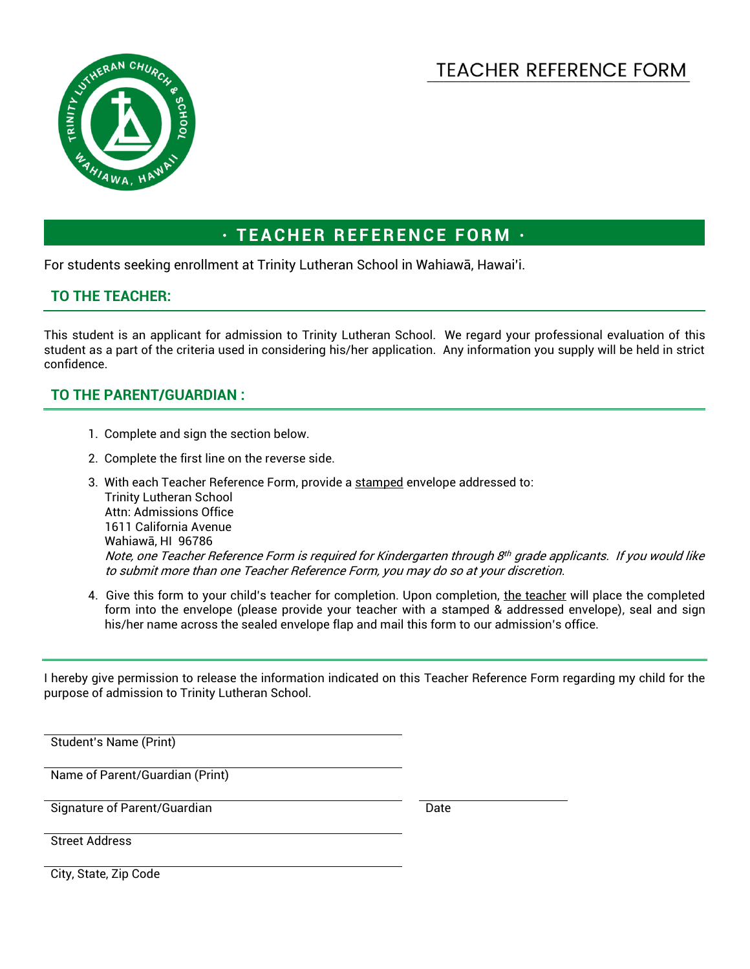

## **TEACHER REFERENCE FORM ·**

For students seeking enrollment at Trinity Lutheran School in Wahiawā, Hawai'i.

## **TO THE TEACHER:**

This student is an applicant for admission to Trinity Lutheran School. We regard your professional evaluation of this student as a part of the criteria used in considering his/her application. Any information you supply will be held in strict confidence.

## **TO THE PARENT/GUARDIAN :**

- 1. Complete and sign the section below.
- 2. Complete the first line on the reverse side.
- 3. With each Teacher Reference Form, provide a stamped envelope addressed to: Trinity Lutheran School Attn: Admissions Office 1611 California Avenue Wahiawā, HI 96786 Note, one Teacher Reference Form is required for Kindergarten through 8th grade applicants. If you would like to submit more than one Teacher Reference Form, you may do so at your discretion.
- 4. Give this form to your child's teacher for completion. Upon completion, the teacher will place the completed form into the envelope (please provide your teacher with a stamped & addressed envelope), seal and sign his/her name across the sealed envelope flap and mail this form to our admission's office.

I hereby give permission to release the information indicated on this Teacher Reference Form regarding my child for the purpose of admission to Trinity Lutheran School.

Student's Name (Print)

Name of Parent/Guardian (Print)

Signature of Parent/Guardian Date

Street Address

City, State, Zip Code